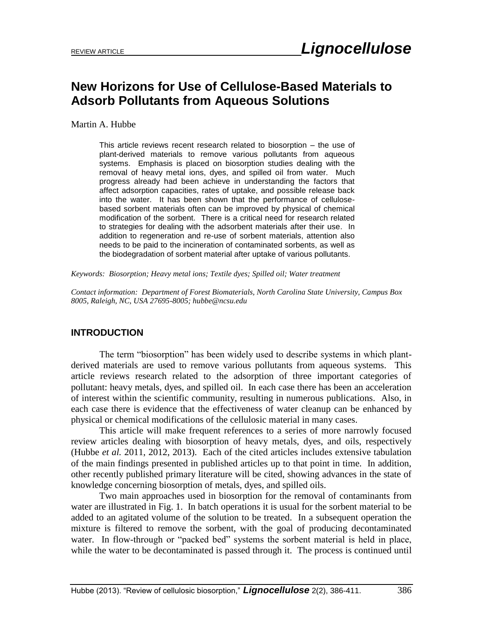# **New Horizons for Use of Cellulose-Based Materials to Adsorb Pollutants from Aqueous Solutions**

Martin A. Hubbe

This article reviews recent research related to biosorption – the use of plant-derived materials to remove various pollutants from aqueous systems. Emphasis is placed on biosorption studies dealing with the removal of heavy metal ions, dyes, and spilled oil from water. Much progress already had been achieve in understanding the factors that affect adsorption capacities, rates of uptake, and possible release back into the water. It has been shown that the performance of cellulosebased sorbent materials often can be improved by physical of chemical modification of the sorbent. There is a critical need for research related to strategies for dealing with the adsorbent materials after their use. In addition to regeneration and re-use of sorbent materials, attention also needs to be paid to the incineration of contaminated sorbents, as well as the biodegradation of sorbent material after uptake of various pollutants.

*Keywords: Biosorption; Heavy metal ions; Textile dyes; Spilled oil; Water treatment*

*Contact information: Department of Forest Biomaterials, North Carolina State University, Campus Box 8005, Raleigh, NC, USA 27695-8005; hubbe@ncsu.edu*

# **INTRODUCTION**

The term "biosorption" has been widely used to describe systems in which plantderived materials are used to remove various pollutants from aqueous systems. This article reviews research related to the adsorption of three important categories of pollutant: heavy metals, dyes, and spilled oil. In each case there has been an acceleration of interest within the scientific community, resulting in numerous publications. Also, in each case there is evidence that the effectiveness of water cleanup can be enhanced by physical or chemical modifications of the cellulosic material in many cases.

This article will make frequent references to a series of more narrowly focused review articles dealing with biosorption of heavy metals, dyes, and oils, respectively (Hubbe *et al.* 2011, 2012, 2013). Each of the cited articles includes extensive tabulation of the main findings presented in published articles up to that point in time. In addition, other recently published primary literature will be cited, showing advances in the state of knowledge concerning biosorption of metals, dyes, and spilled oils.

Two main approaches used in biosorption for the removal of contaminants from water are illustrated in Fig. 1. In batch operations it is usual for the sorbent material to be added to an agitated volume of the solution to be treated. In a subsequent operation the mixture is filtered to remove the sorbent, with the goal of producing decontaminated water. In flow-through or "packed bed" systems the sorbent material is held in place, while the water to be decontaminated is passed through it. The process is continued until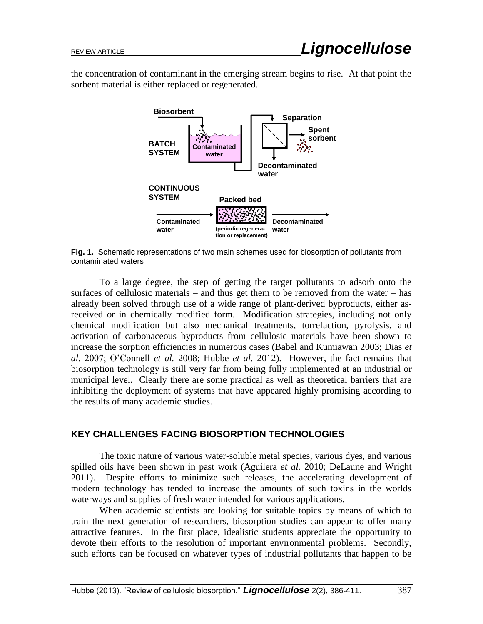the concentration of contaminant in the emerging stream begins to rise. At that point the sorbent material is either replaced or regenerated.



**Fig. 1.** Schematic representations of two main schemes used for biosorption of pollutants from contaminated waters

To a large degree, the step of getting the target pollutants to adsorb onto the surfaces of cellulosic materials – and thus get them to be removed from the water – has already been solved through use of a wide range of plant-derived byproducts, either asreceived or in chemically modified form. Modification strategies, including not only chemical modification but also mechanical treatments, torrefaction, pyrolysis, and activation of carbonaceous byproducts from cellulosic materials have been shown to increase the sorption efficiencies in numerous cases (Babel and Kumiawan 2003; Dias *et al.* 2007; O'Connell *et al.* 2008; Hubbe *et al.* 2012). However, the fact remains that biosorption technology is still very far from being fully implemented at an industrial or municipal level. Clearly there are some practical as well as theoretical barriers that are inhibiting the deployment of systems that have appeared highly promising according to the results of many academic studies.

# **KEY CHALLENGES FACING BIOSORPTION TECHNOLOGIES**

The toxic nature of various water-soluble metal species, various dyes, and various spilled oils have been shown in past work (Aguilera *et al.* 2010; DeLaune and Wright 2011). Despite efforts to minimize such releases, the accelerating development of modern technology has tended to increase the amounts of such toxins in the worlds waterways and supplies of fresh water intended for various applications.

When academic scientists are looking for suitable topics by means of which to train the next generation of researchers, biosorption studies can appear to offer many attractive features. In the first place, idealistic students appreciate the opportunity to devote their efforts to the resolution of important environmental problems. Secondly, such efforts can be focused on whatever types of industrial pollutants that happen to be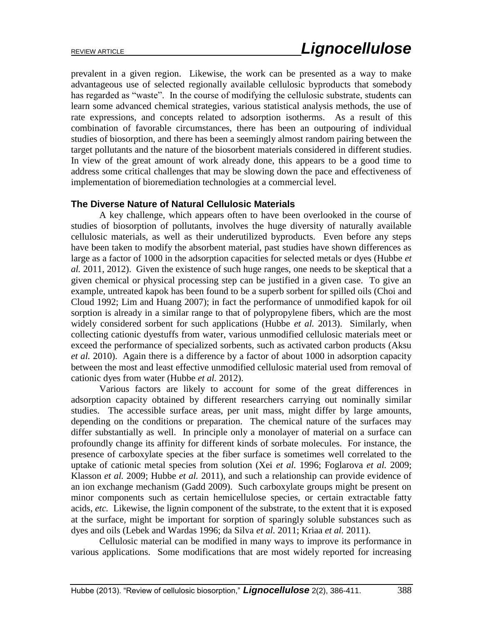prevalent in a given region. Likewise, the work can be presented as a way to make advantageous use of selected regionally available cellulosic byproducts that somebody has regarded as "waste". In the course of modifying the cellulosic substrate, students can learn some advanced chemical strategies, various statistical analysis methods, the use of rate expressions, and concepts related to adsorption isotherms. As a result of this combination of favorable circumstances, there has been an outpouring of individual studies of biosorption, and there has been a seemingly almost random pairing between the target pollutants and the nature of the biosorbent materials considered in different studies. In view of the great amount of work already done, this appears to be a good time to address some critical challenges that may be slowing down the pace and effectiveness of implementation of bioremediation technologies at a commercial level.

## **The Diverse Nature of Natural Cellulosic Materials**

A key challenge, which appears often to have been overlooked in the course of studies of biosorption of pollutants, involves the huge diversity of naturally available cellulosic materials, as well as their underutilized byproducts. Even before any steps have been taken to modify the absorbent material, past studies have shown differences as large as a factor of 1000 in the adsorption capacities for selected metals or dyes (Hubbe *et al.* 2011, 2012). Given the existence of such huge ranges, one needs to be skeptical that a given chemical or physical processing step can be justified in a given case. To give an example, untreated kapok has been found to be a superb sorbent for spilled oils (Choi and Cloud 1992; Lim and Huang 2007); in fact the performance of unmodified kapok for oil sorption is already in a similar range to that of polypropylene fibers, which are the most widely considered sorbent for such applications (Hubbe *et al.* 2013). Similarly, when collecting cationic dyestuffs from water, various unmodified cellulosic materials meet or exceed the performance of specialized sorbents, such as activated carbon products (Aksu *et al.* 2010). Again there is a difference by a factor of about 1000 in adsorption capacity between the most and least effective unmodified cellulosic material used from removal of cationic dyes from water (Hubbe *et al.* 2012).

Various factors are likely to account for some of the great differences in adsorption capacity obtained by different researchers carrying out nominally similar studies. The accessible surface areas, per unit mass, might differ by large amounts, depending on the conditions or preparation. The chemical nature of the surfaces may differ substantially as well. In principle only a monolayer of material on a surface can profoundly change its affinity for different kinds of sorbate molecules. For instance, the presence of carboxylate species at the fiber surface is sometimes well correlated to the uptake of cationic metal species from solution (Xei *et al.* 1996; Foglarova *et al.* 2009; Klasson *et al.* 2009; Hubbe *et al.* 2011), and such a relationship can provide evidence of an ion exchange mechanism (Gadd 2009). Such carboxylate groups might be present on minor components such as certain hemicellulose species, or certain extractable fatty acids, *etc.* Likewise, the lignin component of the substrate, to the extent that it is exposed at the surface, might be important for sorption of sparingly soluble substances such as dyes and oils (Lebek and Wardas 1996; da Silva *et al.* 2011; Kriaa *et al.* 2011).

Cellulosic material can be modified in many ways to improve its performance in various applications. Some modifications that are most widely reported for increasing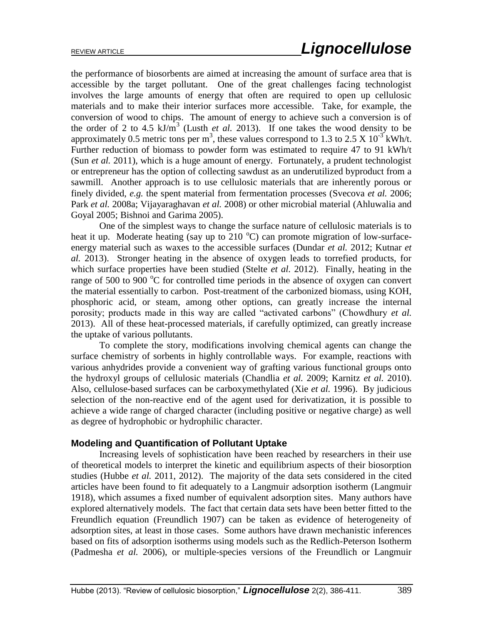the performance of biosorbents are aimed at increasing the amount of surface area that is accessible by the target pollutant. One of the great challenges facing technologist involves the large amounts of energy that often are required to open up cellulosic materials and to make their interior surfaces more accessible. Take, for example, the conversion of wood to chips. The amount of energy to achieve such a conversion is of the order of 2 to 4.5  $kJ/m<sup>3</sup>$  (Lusth *et al.* 2013). If one takes the wood density to be approximately 0.5 metric tons per m<sup>3</sup>, these values correspond to 1.3 to 2.5 X 10<sup>-3</sup> kWh/t. Further reduction of biomass to powder form was estimated to require 47 to 91 kWh/t (Sun *et al.* 2011), which is a huge amount of energy. Fortunately, a prudent technologist or entrepreneur has the option of collecting sawdust as an underutilized byproduct from a sawmill. Another approach is to use cellulosic materials that are inherently porous or finely divided, *e.g.* the spent material from fermentation processes (Svecova *et al.* 2006; Park *et al.* 2008a; Vijayaraghavan *et al.* 2008) or other microbial material (Ahluwalia and Goyal 2005; Bishnoi and Garima 2005).

One of the simplest ways to change the surface nature of cellulosic materials is to heat it up. Moderate heating (say up to 210  $^{\circ}$ C) can promote migration of low-surfaceenergy material such as waxes to the accessible surfaces (Dundar *et al.* 2012; Kutnar *et al.* 2013). Stronger heating in the absence of oxygen leads to torrefied products, for which surface properties have been studied (Stelte *et al.* 2012). Finally, heating in the range of 500 to 900  $^{\circ}$ C for controlled time periods in the absence of oxygen can convert the material essentially to carbon. Post-treatment of the carbonized biomass, using KOH, phosphoric acid, or steam, among other options, can greatly increase the internal porosity; products made in this way are called "activated carbons" (Chowdhury *et al.* 2013). All of these heat-processed materials, if carefully optimized, can greatly increase the uptake of various pollutants.

To complete the story, modifications involving chemical agents can change the surface chemistry of sorbents in highly controllable ways. For example, reactions with various anhydrides provide a convenient way of grafting various functional groups onto the hydroxyl groups of cellulosic materials (Chandlia *et al.* 2009; Karnitz *et al.* 2010). Also, cellulose-based surfaces can be carboxymethylated (Xie *et al.* 1996). By judicious selection of the non-reactive end of the agent used for derivatization, it is possible to achieve a wide range of charged character (including positive or negative charge) as well as degree of hydrophobic or hydrophilic character.

#### **Modeling and Quantification of Pollutant Uptake**

Increasing levels of sophistication have been reached by researchers in their use of theoretical models to interpret the kinetic and equilibrium aspects of their biosorption studies (Hubbe *et al.* 2011, 2012). The majority of the data sets considered in the cited articles have been found to fit adequately to a Langmuir adsorption isotherm (Langmuir 1918), which assumes a fixed number of equivalent adsorption sites. Many authors have explored alternatively models. The fact that certain data sets have been better fitted to the Freundlich equation (Freundlich 1907) can be taken as evidence of heterogeneity of adsorption sites, at least in those cases. Some authors have drawn mechanistic inferences based on fits of adsorption isotherms using models such as the Redlich-Peterson Isotherm (Padmesha *et al.* 2006), or multiple-species versions of the Freundlich or Langmuir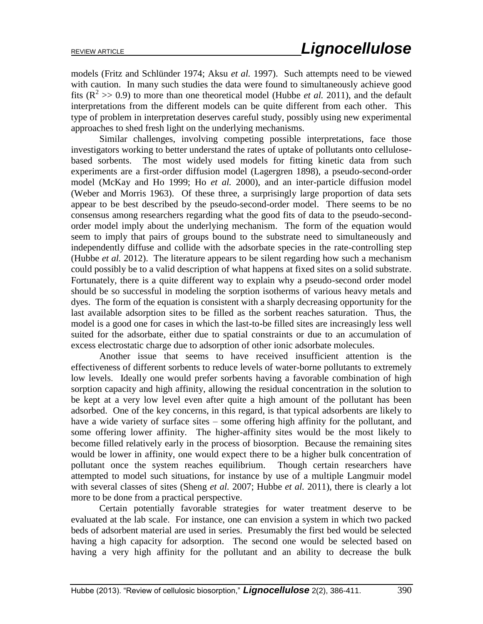models (Fritz and Schlünder 1974; Aksu *et al.* 1997). Such attempts need to be viewed with caution. In many such studies the data were found to simultaneously achieve good fits  $(R^2 \gg 0.9)$  to more than one theoretical model (Hubbe *et al.* 2011), and the default interpretations from the different models can be quite different from each other. This type of problem in interpretation deserves careful study, possibly using new experimental approaches to shed fresh light on the underlying mechanisms.

Similar challenges, involving competing possible interpretations, face those investigators working to better understand the rates of uptake of pollutants onto cellulosebased sorbents. The most widely used models for fitting kinetic data from such experiments are a first-order diffusion model (Lagergren 1898), a pseudo-second-order model (McKay and Ho 1999; Ho *et al.* 2000), and an inter-particle diffusion model (Weber and Morris 1963). Of these three, a surprisingly large proportion of data sets appear to be best described by the pseudo-second-order model. There seems to be no consensus among researchers regarding what the good fits of data to the pseudo-secondorder model imply about the underlying mechanism. The form of the equation would seem to imply that pairs of groups bound to the substrate need to simultaneously and independently diffuse and collide with the adsorbate species in the rate-controlling step (Hubbe *et al.* 2012). The literature appears to be silent regarding how such a mechanism could possibly be to a valid description of what happens at fixed sites on a solid substrate. Fortunately, there is a quite different way to explain why a pseudo-second order model should be so successful in modeling the sorption isotherms of various heavy metals and dyes. The form of the equation is consistent with a sharply decreasing opportunity for the last available adsorption sites to be filled as the sorbent reaches saturation. Thus, the model is a good one for cases in which the last-to-be filled sites are increasingly less well suited for the adsorbate, either due to spatial constraints or due to an accumulation of excess electrostatic charge due to adsorption of other ionic adsorbate molecules.

Another issue that seems to have received insufficient attention is the effectiveness of different sorbents to reduce levels of water-borne pollutants to extremely low levels. Ideally one would prefer sorbents having a favorable combination of high sorption capacity and high affinity, allowing the residual concentration in the solution to be kept at a very low level even after quite a high amount of the pollutant has been adsorbed. One of the key concerns, in this regard, is that typical adsorbents are likely to have a wide variety of surface sites – some offering high affinity for the pollutant, and some offering lower affinity. The higher-affinity sites would be the most likely to become filled relatively early in the process of biosorption. Because the remaining sites would be lower in affinity, one would expect there to be a higher bulk concentration of pollutant once the system reaches equilibrium. Though certain researchers have attempted to model such situations, for instance by use of a multiple Langmuir model with several classes of sites (Sheng *et al.* 2007; Hubbe *et al.* 2011), there is clearly a lot more to be done from a practical perspective.

Certain potentially favorable strategies for water treatment deserve to be evaluated at the lab scale. For instance, one can envision a system in which two packed beds of adsorbent material are used in series. Presumably the first bed would be selected having a high capacity for adsorption. The second one would be selected based on having a very high affinity for the pollutant and an ability to decrease the bulk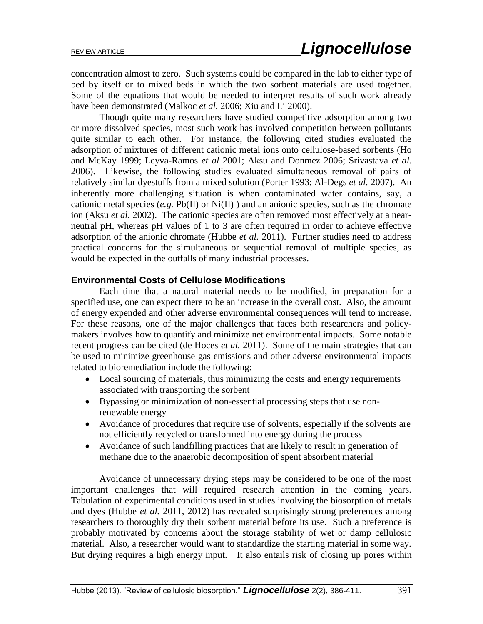concentration almost to zero. Such systems could be compared in the lab to either type of bed by itself or to mixed beds in which the two sorbent materials are used together. Some of the equations that would be needed to interpret results of such work already have been demonstrated (Malkoc *et al.* 2006; Xiu and Li 2000).

Though quite many researchers have studied competitive adsorption among two or more dissolved species, most such work has involved competition between pollutants quite similar to each other. For instance, the following cited studies evaluated the adsorption of mixtures of different cationic metal ions onto cellulose-based sorbents (Ho and McKay 1999; Leyva-Ramos *et al* 2001; Aksu and Donmez 2006; Srivastava *et al.* 2006). Likewise, the following studies evaluated simultaneous removal of pairs of relatively similar dyestuffs from a mixed solution (Porter 1993; Al-Degs *et al.* 2007). An inherently more challenging situation is when contaminated water contains, say, a cationic metal species  $(e.g. Pb(II)$  or  $Ni(II)$ ) and an anionic species, such as the chromate ion (Aksu *et al.* 2002). The cationic species are often removed most effectively at a nearneutral pH, whereas pH values of 1 to 3 are often required in order to achieve effective adsorption of the anionic chromate (Hubbe *et al.* 2011). Further studies need to address practical concerns for the simultaneous or sequential removal of multiple species, as would be expected in the outfalls of many industrial processes.

#### **Environmental Costs of Cellulose Modifications**

Each time that a natural material needs to be modified, in preparation for a specified use, one can expect there to be an increase in the overall cost. Also, the amount of energy expended and other adverse environmental consequences will tend to increase. For these reasons, one of the major challenges that faces both researchers and policymakers involves how to quantify and minimize net environmental impacts. Some notable recent progress can be cited (de Hoces *et al.* 2011). Some of the main strategies that can be used to minimize greenhouse gas emissions and other adverse environmental impacts related to bioremediation include the following:

- Local sourcing of materials, thus minimizing the costs and energy requirements associated with transporting the sorbent
- Bypassing or minimization of non-essential processing steps that use nonrenewable energy
- Avoidance of procedures that require use of solvents, especially if the solvents are not efficiently recycled or transformed into energy during the process
- Avoidance of such landfilling practices that are likely to result in generation of methane due to the anaerobic decomposition of spent absorbent material

Avoidance of unnecessary drying steps may be considered to be one of the most important challenges that will required research attention in the coming years. Tabulation of experimental conditions used in studies involving the biosorption of metals and dyes (Hubbe *et al.* 2011, 2012) has revealed surprisingly strong preferences among researchers to thoroughly dry their sorbent material before its use. Such a preference is probably motivated by concerns about the storage stability of wet or damp cellulosic material. Also, a researcher would want to standardize the starting material in some way. But drying requires a high energy input. It also entails risk of closing up pores within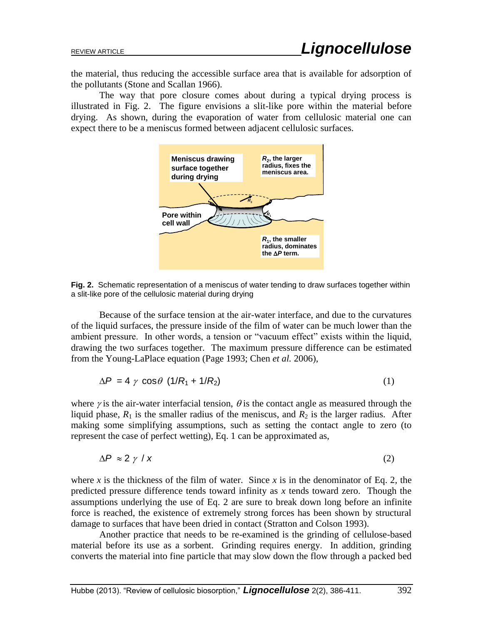the material, thus reducing the accessible surface area that is available for adsorption of the pollutants (Stone and Scallan 1966).

The way that pore closure comes about during a typical drying process is illustrated in Fig. 2. The figure envisions a slit-like pore within the material before drying. As shown, during the evaporation of water from cellulosic material one can expect there to be a meniscus formed between adjacent cellulosic surfaces.



**Fig. 2.** Schematic representation of a meniscus of water tending to draw surfaces together within a slit-like pore of the cellulosic material during drying

Because of the surface tension at the air-water interface, and due to the curvatures of the liquid surfaces, the pressure inside of the film of water can be much lower than the ambient pressure. In other words, a tension or "vacuum effect" exists within the liquid, drawing the two surfaces together. The maximum pressure difference can be estimated from the Young-LaPlace equation (Page 1993; Chen *et al.* 2006),

$$
\Delta P = 4 \gamma \cos \theta (1/R_1 + 1/R_2) \tag{1}
$$

where  $\gamma$  is the air-water interfacial tension,  $\theta$  is the contact angle as measured through the liquid phase,  $R_1$  is the smaller radius of the meniscus, and  $R_2$  is the larger radius. After making some simplifying assumptions, such as setting the contact angle to zero (to represent the case of perfect wetting), Eq. 1 can be approximated as,

$$
\Delta P \approx 2 \gamma / x \tag{2}
$$

where *x* is the thickness of the film of water. Since *x* is in the denominator of Eq. 2, the predicted pressure difference tends toward infinity as *x* tends toward zero. Though the assumptions underlying the use of Eq. 2 are sure to break down long before an infinite force is reached, the existence of extremely strong forces has been shown by structural damage to surfaces that have been dried in contact (Stratton and Colson 1993).

Another practice that needs to be re-examined is the grinding of cellulose-based material before its use as a sorbent. Grinding requires energy. In addition, grinding converts the material into fine particle that may slow down the flow through a packed bed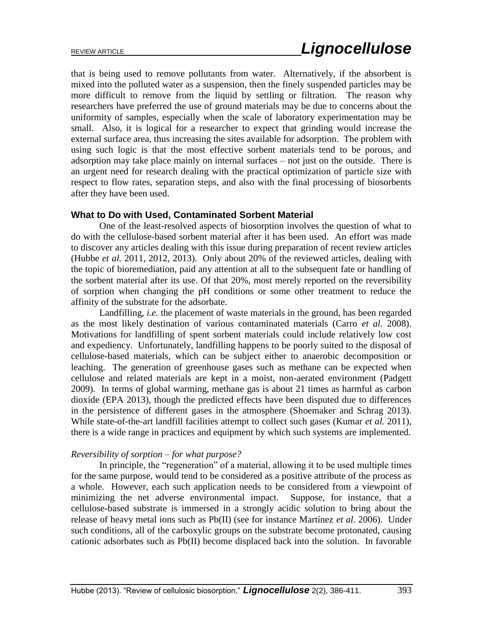that is being used to remove pollutants from water. Alternatively, if the absorbent is mixed into the polluted water as a suspension, then the finely suspended particles may be more difficult to remove from the liquid by settling or filtration. The reason why researchers have preferred the use of ground materials may be due to concerns about the uniformity of samples, especially when the scale of laboratory experimentation may be small. Also, it is logical for a researcher to expect that grinding would increase the external surface area, thus increasing the sites available for adsorption. The problem with using such logic is that the most effective sorbent materials tend to be porous, and adsorption may take place mainly on internal surfaces – not just on the outside. There is an urgent need for research dealing with the practical optimization of particle size with respect to flow rates, separation steps, and also with the final processing of biosorbents after they have been used.

#### **What to Do with Used, Contaminated Sorbent Material**

One of the least-resolved aspects of biosorption involves the question of what to do with the cellulose-based sorbent material after it has been used. An effort was made to discover any articles dealing with this issue during preparation of recent review articles (Hubbe *et al.* 2011, 2012, 2013). Only about 20% of the reviewed articles, dealing with the topic of bioremediation, paid any attention at all to the subsequent fate or handling of the sorbent material after its use. Of that 20%, most merely reported on the reversibility of sorption when changing the pH conditions or some other treatment to reduce the affinity of the substrate for the adsorbate.

Landfilling, *i.e.* the placement of waste materials in the ground, has been regarded as the most likely destination of various contaminated materials (Carro *et al.* 2008). Motivations for landfilling of spent sorbent materials could include relatively low cost and expediency. Unfortunately, landfilling happens to be poorly suited to the disposal of cellulose-based materials, which can be subject either to anaerobic decomposition or leaching. The generation of greenhouse gases such as methane can be expected when cellulose and related materials are kept in a moist, non-aerated environment (Padgett 2009). In terms of global warming, methane gas is about 21 times as harmful as carbon dioxide (EPA 2013), though the predicted effects have been disputed due to differences in the persistence of different gases in the atmosphere (Shoemaker and Schrag 2013). While state-of-the-art landfill facilities attempt to collect such gases (Kumar *et al.* 2011), there is a wide range in practices and equipment by which such systems are implemented.

#### *Reversibility of sorption – for what purpose?*

In principle, the "regeneration" of a material, allowing it to be used multiple times for the same purpose, would tend to be considered as a positive attribute of the process as a whole. However, each such application needs to be considered from a viewpoint of minimizing the net adverse environmental impact. Suppose, for instance, that a cellulose-based substrate is immersed in a strongly acidic solution to bring about the release of heavy metal ions such as Pb(II) (see for instance Martínez *et al.* 2006). Under such conditions, all of the carboxylic groups on the substrate become protonated, causing cationic adsorbates such as Pb(II) become displaced back into the solution. In favorable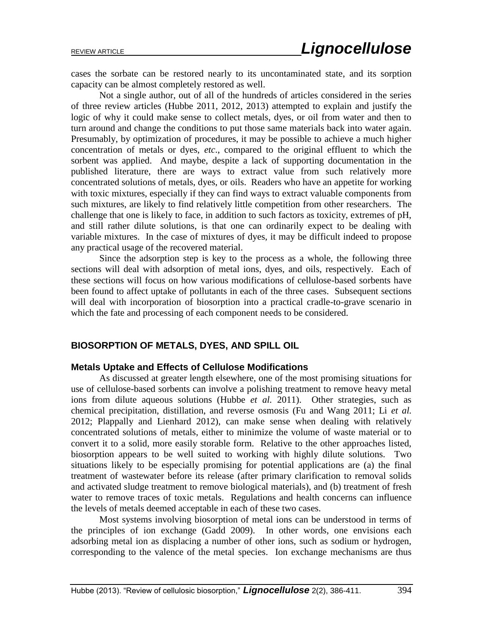cases the sorbate can be restored nearly to its uncontaminated state, and its sorption capacity can be almost completely restored as well.

Not a single author, out of all of the hundreds of articles considered in the series of three review articles (Hubbe 2011, 2012, 2013) attempted to explain and justify the logic of why it could make sense to collect metals, dyes, or oil from water and then to turn around and change the conditions to put those same materials back into water again. Presumably, by optimization of procedures, it may be possible to achieve a much higher concentration of metals or dyes, *etc*., compared to the original effluent to which the sorbent was applied. And maybe, despite a lack of supporting documentation in the published literature, there are ways to extract value from such relatively more concentrated solutions of metals, dyes, or oils. Readers who have an appetite for working with toxic mixtures, especially if they can find ways to extract valuable components from such mixtures, are likely to find relatively little competition from other researchers. The challenge that one is likely to face, in addition to such factors as toxicity, extremes of pH, and still rather dilute solutions, is that one can ordinarily expect to be dealing with variable mixtures. In the case of mixtures of dyes, it may be difficult indeed to propose any practical usage of the recovered material.

Since the adsorption step is key to the process as a whole, the following three sections will deal with adsorption of metal ions, dyes, and oils, respectively. Each of these sections will focus on how various modifications of cellulose-based sorbents have been found to affect uptake of pollutants in each of the three cases. Subsequent sections will deal with incorporation of biosorption into a practical cradle-to-grave scenario in which the fate and processing of each component needs to be considered.

#### **BIOSORPTION OF METALS, DYES, AND SPILL OIL**

#### **Metals Uptake and Effects of Cellulose Modifications**

As discussed at greater length elsewhere, one of the most promising situations for use of cellulose-based sorbents can involve a polishing treatment to remove heavy metal ions from dilute aqueous solutions (Hubbe *et al.* 2011). Other strategies, such as chemical precipitation, distillation, and reverse osmosis (Fu and Wang 2011; Li *et al.* 2012; Plappally and Lienhard 2012), can make sense when dealing with relatively concentrated solutions of metals, either to minimize the volume of waste material or to convert it to a solid, more easily storable form. Relative to the other approaches listed, biosorption appears to be well suited to working with highly dilute solutions. Two situations likely to be especially promising for potential applications are (a) the final treatment of wastewater before its release (after primary clarification to removal solids and activated sludge treatment to remove biological materials), and (b) treatment of fresh water to remove traces of toxic metals. Regulations and health concerns can influence the levels of metals deemed acceptable in each of these two cases.

Most systems involving biosorption of metal ions can be understood in terms of the principles of ion exchange (Gadd 2009). In other words, one envisions each adsorbing metal ion as displacing a number of other ions, such as sodium or hydrogen, corresponding to the valence of the metal species. Ion exchange mechanisms are thus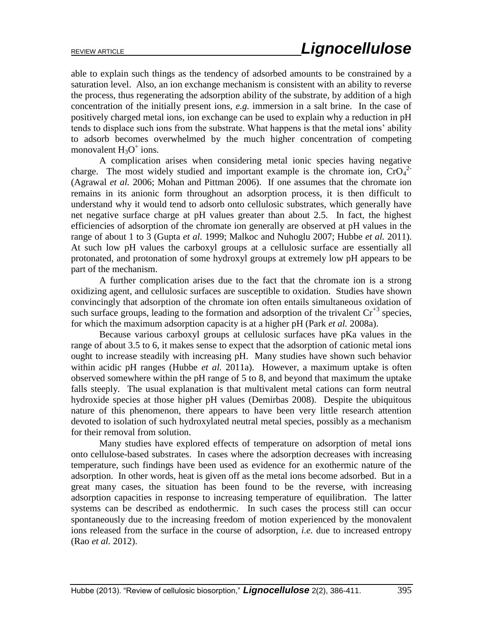able to explain such things as the tendency of adsorbed amounts to be constrained by a saturation level. Also, an ion exchange mechanism is consistent with an ability to reverse the process, thus regenerating the adsorption ability of the substrate, by addition of a high concentration of the initially present ions, *e.g.* immersion in a salt brine. In the case of positively charged metal ions, ion exchange can be used to explain why a reduction in pH tends to displace such ions from the substrate. What happens is that the metal ions' ability to adsorb becomes overwhelmed by the much higher concentration of competing monovalent  $H_3O^+$  ions.

A complication arises when considering metal ionic species having negative charge. The most widely studied and important example is the chromate ion,  $CrO<sub>4</sub><sup>2</sup>$ (Agrawal *et al.* 2006; Mohan and Pittman 2006). If one assumes that the chromate ion remains in its anionic form throughout an adsorption process, it is then difficult to understand why it would tend to adsorb onto cellulosic substrates, which generally have net negative surface charge at pH values greater than about 2.5. In fact, the highest efficiencies of adsorption of the chromate ion generally are observed at pH values in the range of about 1 to 3 (Gupta *et al.* 1999; Malkoc and Nuhoglu 2007; Hubbe *et al.* 2011). At such low pH values the carboxyl groups at a cellulosic surface are essentially all protonated, and protonation of some hydroxyl groups at extremely low pH appears to be part of the mechanism.

A further complication arises due to the fact that the chromate ion is a strong oxidizing agent, and cellulosic surfaces are susceptible to oxidation. Studies have shown convincingly that adsorption of the chromate ion often entails simultaneous oxidation of such surface groups, leading to the formation and adsorption of the trivalent  $Cr^{3}$  species, for which the maximum adsorption capacity is at a higher pH (Park *et al.* 2008a).

Because various carboxyl groups at cellulosic surfaces have pKa values in the range of about 3.5 to 6, it makes sense to expect that the adsorption of cationic metal ions ought to increase steadily with increasing pH. Many studies have shown such behavior within acidic pH ranges (Hubbe *et al.* 2011a). However, a maximum uptake is often observed somewhere within the pH range of 5 to 8, and beyond that maximum the uptake falls steeply. The usual explanation is that multivalent metal cations can form neutral hydroxide species at those higher pH values (Demirbas 2008). Despite the ubiquitous nature of this phenomenon, there appears to have been very little research attention devoted to isolation of such hydroxylated neutral metal species, possibly as a mechanism for their removal from solution.

Many studies have explored effects of temperature on adsorption of metal ions onto cellulose-based substrates. In cases where the adsorption decreases with increasing temperature, such findings have been used as evidence for an exothermic nature of the adsorption. In other words, heat is given off as the metal ions become adsorbed. But in a great many cases, the situation has been found to be the reverse, with increasing adsorption capacities in response to increasing temperature of equilibration. The latter systems can be described as endothermic. In such cases the process still can occur spontaneously due to the increasing freedom of motion experienced by the monovalent ions released from the surface in the course of adsorption, *i.e.* due to increased entropy (Rao *et al.* 2012).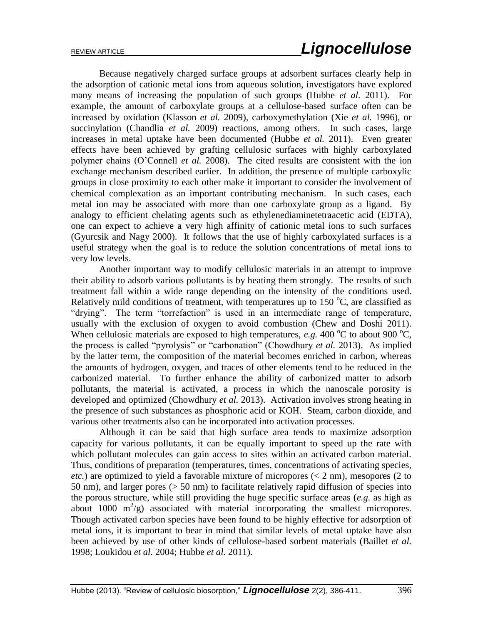Because negatively charged surface groups at adsorbent surfaces clearly help in the adsorption of cationic metal ions from aqueous solution, investigators have explored many means of increasing the population of such groups (Hubbe *et al.* 2011). For example, the amount of carboxylate groups at a cellulose-based surface often can be increased by oxidation (Klasson *et al.* 2009), carboxymethylation (Xie *et al.* 1996), or succinylation (Chandlia *et al.* 2009) reactions, among others. In such cases, large increases in metal uptake have been documented (Hubbe *et al.* 2011). Even greater effects have been achieved by grafting cellulosic surfaces with highly carboxylated polymer chains (O'Connell *et al.* 2008). The cited results are consistent with the ion exchange mechanism described earlier. In addition, the presence of multiple carboxylic groups in close proximity to each other make it important to consider the involvement of chemical complexation as an important contributing mechanism. In such cases, each metal ion may be associated with more than one carboxylate group as a ligand. By analogy to efficient chelating agents such as ethylenediaminetetraacetic acid (EDTA), one can expect to achieve a very high affinity of cationic metal ions to such surfaces (Gyurcsik and Nagy 2000). It follows that the use of highly carboxylated surfaces is a useful strategy when the goal is to reduce the solution concentrations of metal ions to very low levels.

Another important way to modify cellulosic materials in an attempt to improve their ability to adsorb various pollutants is by heating them strongly. The results of such treatment fall within a wide range depending on the intensity of the conditions used. Relatively mild conditions of treatment, with temperatures up to  $150 \degree C$ , are classified as "drying". The term "torrefaction" is used in an intermediate range of temperature, usually with the exclusion of oxygen to avoid combustion (Chew and Doshi 2011). When cellulosic materials are exposed to high temperatures, *e.g.* 400  $^{\circ}$ C to about 900  $^{\circ}$ C, the process is called "pyrolysis" or "carbonation" (Chowdhury *et al.* 2013). As implied by the latter term, the composition of the material becomes enriched in carbon, whereas the amounts of hydrogen, oxygen, and traces of other elements tend to be reduced in the carbonized material. To further enhance the ability of carbonized matter to adsorb pollutants, the material is activated, a process in which the nanoscale porosity is developed and optimized (Chowdhury *et al.* 2013). Activation involves strong heating in the presence of such substances as phosphoric acid or KOH. Steam, carbon dioxide, and various other treatments also can be incorporated into activation processes.

Although it can be said that high surface area tends to maximize adsorption capacity for various pollutants, it can be equally important to speed up the rate with which pollutant molecules can gain access to sites within an activated carbon material. Thus, conditions of preparation (temperatures, times, concentrations of activating species, *etc.*) are optimized to yield a favorable mixture of micropores ( $\lt 2$  nm), mesopores (2 to 50 nm), and larger pores (> 50 nm) to facilitate relatively rapid diffusion of species into the porous structure, while still providing the huge specific surface areas (*e.g.* as high as about 1000  $m^2/g$ ) associated with material incorporating the smallest micropores. Though activated carbon species have been found to be highly effective for adsorption of metal ions, it is important to bear in mind that similar levels of metal uptake have also been achieved by use of other kinds of cellulose-based sorbent materials (Baillet *et al.* 1998; Loukidou *et al.* 2004; Hubbe *et al.* 2011).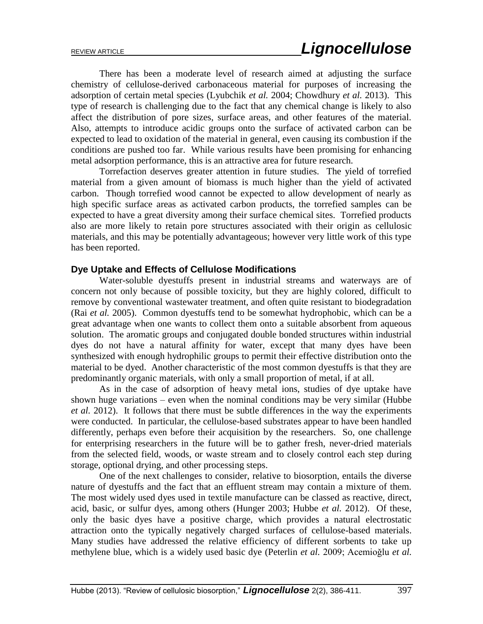There has been a moderate level of research aimed at adjusting the surface chemistry of cellulose-derived carbonaceous material for purposes of increasing the adsorption of certain metal species (Lyubchik *et al.* 2004; Chowdhury *et al.* 2013). This type of research is challenging due to the fact that any chemical change is likely to also affect the distribution of pore sizes, surface areas, and other features of the material. Also, attempts to introduce acidic groups onto the surface of activated carbon can be expected to lead to oxidation of the material in general, even causing its combustion if the conditions are pushed too far. While various results have been promising for enhancing metal adsorption performance, this is an attractive area for future research.

Torrefaction deserves greater attention in future studies. The yield of torrefied material from a given amount of biomass is much higher than the yield of activated carbon. Though torrefied wood cannot be expected to allow development of nearly as high specific surface areas as activated carbon products, the torrefied samples can be expected to have a great diversity among their surface chemical sites. Torrefied products also are more likely to retain pore structures associated with their origin as cellulosic materials, and this may be potentially advantageous; however very little work of this type has been reported.

## **Dye Uptake and Effects of Cellulose Modifications**

Water-soluble dyestuffs present in industrial streams and waterways are of concern not only because of possible toxicity, but they are highly colored, difficult to remove by conventional wastewater treatment, and often quite resistant to biodegradation (Rai *et al.* 2005). Common dyestuffs tend to be somewhat hydrophobic, which can be a great advantage when one wants to collect them onto a suitable absorbent from aqueous solution. The aromatic groups and conjugated double bonded structures within industrial dyes do not have a natural affinity for water, except that many dyes have been synthesized with enough hydrophilic groups to permit their effective distribution onto the material to be dyed. Another characteristic of the most common dyestuffs is that they are predominantly organic materials, with only a small proportion of metal, if at all.

As in the case of adsorption of heavy metal ions, studies of dye uptake have shown huge variations – even when the nominal conditions may be very similar (Hubbe *et al.* 2012). It follows that there must be subtle differences in the way the experiments were conducted. In particular, the cellulose-based substrates appear to have been handled differently, perhaps even before their acquisition by the researchers. So, one challenge for enterprising researchers in the future will be to gather fresh, never-dried materials from the selected field, woods, or waste stream and to closely control each step during storage, optional drying, and other processing steps.

One of the next challenges to consider, relative to biosorption, entails the diverse nature of dyestuffs and the fact that an effluent stream may contain a mixture of them. The most widely used dyes used in textile manufacture can be classed as reactive, direct, acid, basic, or sulfur dyes, among others (Hunger 2003; Hubbe *et al.* 2012). Of these, only the basic dyes have a positive charge, which provides a natural electrostatic attraction onto the typically negatively charged surfaces of cellulose-based materials. Many studies have addressed the relative efficiency of different sorbents to take up methylene blue, which is a widely used basic dye (Peterlin *et al.* 2009; Acemioğlu *et al.*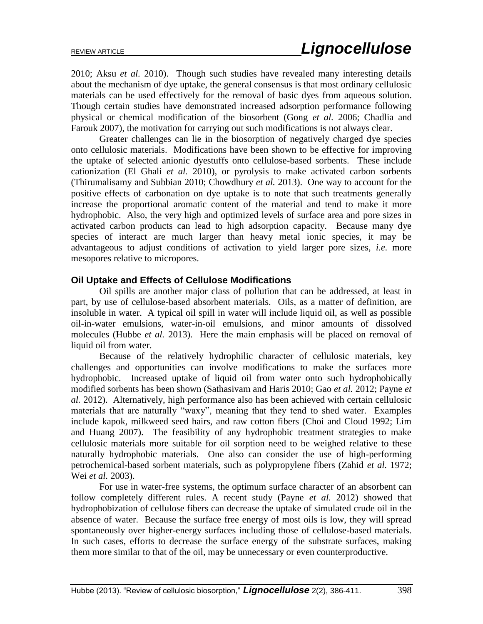2010; Aksu *et al.* 2010). Though such studies have revealed many interesting details about the mechanism of dye uptake, the general consensus is that most ordinary cellulosic materials can be used effectively for the removal of basic dyes from aqueous solution. Though certain studies have demonstrated increased adsorption performance following physical or chemical modification of the biosorbent (Gong *et al.* 2006; Chadlia and Farouk 2007), the motivation for carrying out such modifications is not always clear.

Greater challenges can lie in the biosorption of negatively charged dye species onto cellulosic materials. Modifications have been shown to be effective for improving the uptake of selected anionic dyestuffs onto cellulose-based sorbents. These include cationization (El Ghali *et al.* 2010), or pyrolysis to make activated carbon sorbents (Thirumalisamy and Subbian 2010; Chowdhury *et al.* 2013). One way to account for the positive effects of carbonation on dye uptake is to note that such treatments generally increase the proportional aromatic content of the material and tend to make it more hydrophobic. Also, the very high and optimized levels of surface area and pore sizes in activated carbon products can lead to high adsorption capacity. Because many dye species of interact are much larger than heavy metal ionic species, it may be advantageous to adjust conditions of activation to yield larger pore sizes, *i.e.* more mesopores relative to micropores.

# **Oil Uptake and Effects of Cellulose Modifications**

Oil spills are another major class of pollution that can be addressed, at least in part, by use of cellulose-based absorbent materials. Oils, as a matter of definition, are insoluble in water. A typical oil spill in water will include liquid oil, as well as possible oil-in-water emulsions, water-in-oil emulsions, and minor amounts of dissolved molecules (Hubbe *et al.* 2013). Here the main emphasis will be placed on removal of liquid oil from water.

Because of the relatively hydrophilic character of cellulosic materials, key challenges and opportunities can involve modifications to make the surfaces more hydrophobic. Increased uptake of liquid oil from water onto such hydrophobically modified sorbents has been shown (Sathasivam and Haris 2010; Gao *et al.* 2012; Payne *et al.* 2012). Alternatively, high performance also has been achieved with certain cellulosic materials that are naturally "waxy", meaning that they tend to shed water. Examples include kapok, milkweed seed hairs, and raw cotton fibers (Choi and Cloud 1992; Lim and Huang 2007). The feasibility of any hydrophobic treatment strategies to make cellulosic materials more suitable for oil sorption need to be weighed relative to these naturally hydrophobic materials. One also can consider the use of high-performing petrochemical-based sorbent materials, such as polypropylene fibers (Zahid *et al.* 1972; Wei *et al.* 2003).

For use in water-free systems, the optimum surface character of an absorbent can follow completely different rules. A recent study (Payne *et al.* 2012) showed that hydrophobization of cellulose fibers can decrease the uptake of simulated crude oil in the absence of water. Because the surface free energy of most oils is low, they will spread spontaneously over higher-energy surfaces including those of cellulose-based materials. In such cases, efforts to decrease the surface energy of the substrate surfaces, making them more similar to that of the oil, may be unnecessary or even counterproductive.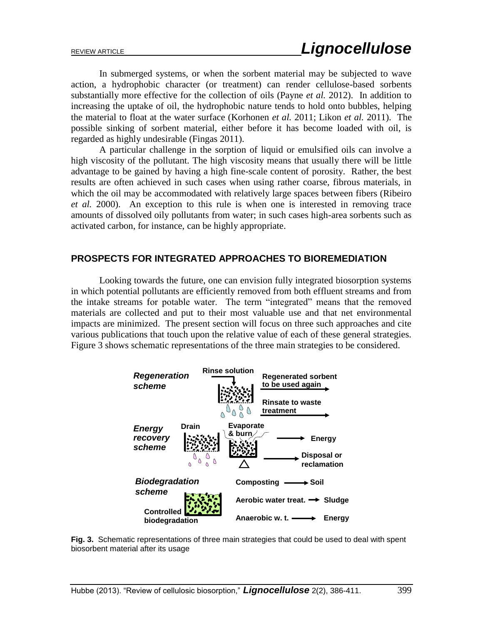In submerged systems, or when the sorbent material may be subjected to wave action, a hydrophobic character (or treatment) can render cellulose-based sorbents substantially more effective for the collection of oils (Payne *et al.* 2012). In addition to increasing the uptake of oil, the hydrophobic nature tends to hold onto bubbles, helping the material to float at the water surface (Korhonen *et al.* 2011; Likon *et al.* 2011). The possible sinking of sorbent material, either before it has become loaded with oil, is regarded as highly undesirable (Fingas 2011).

A particular challenge in the sorption of liquid or emulsified oils can involve a high viscosity of the pollutant. The high viscosity means that usually there will be little advantage to be gained by having a high fine-scale content of porosity. Rather, the best results are often achieved in such cases when using rather coarse, fibrous materials, in which the oil may be accommodated with relatively large spaces between fibers (Ribeiro *et al.* 2000). An exception to this rule is when one is interested in removing trace amounts of dissolved oily pollutants from water; in such cases high-area sorbents such as activated carbon, for instance, can be highly appropriate.

### **PROSPECTS FOR INTEGRATED APPROACHES TO BIOREMEDIATION**

Looking towards the future, one can envision fully integrated biosorption systems in which potential pollutants are efficiently removed from both effluent streams and from the intake streams for potable water. The term "integrated" means that the removed materials are collected and put to their most valuable use and that net environmental impacts are minimized. The present section will focus on three such approaches and cite various publications that touch upon the relative value of each of these general strategies. Figure 3 shows schematic representations of the three main strategies to be considered.



**Fig. 3.** Schematic representations of three main strategies that could be used to deal with spent biosorbent material after its usage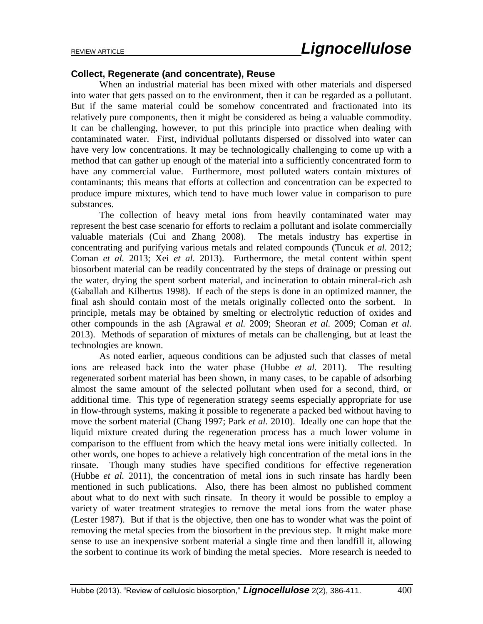### **Collect, Regenerate (and concentrate), Reuse**

When an industrial material has been mixed with other materials and dispersed into water that gets passed on to the environment, then it can be regarded as a pollutant. But if the same material could be somehow concentrated and fractionated into its relatively pure components, then it might be considered as being a valuable commodity. It can be challenging, however, to put this principle into practice when dealing with contaminated water. First, individual pollutants dispersed or dissolved into water can have very low concentrations. It may be technologically challenging to come up with a method that can gather up enough of the material into a sufficiently concentrated form to have any commercial value. Furthermore, most polluted waters contain mixtures of contaminants; this means that efforts at collection and concentration can be expected to produce impure mixtures, which tend to have much lower value in comparison to pure substances.

The collection of heavy metal ions from heavily contaminated water may represent the best case scenario for efforts to reclaim a pollutant and isolate commercially valuable materials (Cui and Zhang 2008). The metals industry has expertise in concentrating and purifying various metals and related compounds (Tuncuk *et al.* 2012; Coman *et al.* 2013; Xei *et al.* 2013). Furthermore, the metal content within spent biosorbent material can be readily concentrated by the steps of drainage or pressing out the water, drying the spent sorbent material, and incineration to obtain mineral-rich ash (Gaballah and Kilbertus 1998). If each of the steps is done in an optimized manner, the final ash should contain most of the metals originally collected onto the sorbent. In principle, metals may be obtained by smelting or electrolytic reduction of oxides and other compounds in the ash (Agrawal *et al.* 2009; Sheoran *et al.* 2009; Coman *et al.* 2013). Methods of separation of mixtures of metals can be challenging, but at least the technologies are known.

As noted earlier, aqueous conditions can be adjusted such that classes of metal ions are released back into the water phase (Hubbe *et al.* 2011). The resulting regenerated sorbent material has been shown, in many cases, to be capable of adsorbing almost the same amount of the selected pollutant when used for a second, third, or additional time. This type of regeneration strategy seems especially appropriate for use in flow-through systems, making it possible to regenerate a packed bed without having to move the sorbent material (Chang 1997; Park *et al.* 2010). Ideally one can hope that the liquid mixture created during the regeneration process has a much lower volume in comparison to the effluent from which the heavy metal ions were initially collected. In other words, one hopes to achieve a relatively high concentration of the metal ions in the rinsate. Though many studies have specified conditions for effective regeneration (Hubbe *et al.* 2011), the concentration of metal ions in such rinsate has hardly been mentioned in such publications. Also, there has been almost no published comment about what to do next with such rinsate. In theory it would be possible to employ a variety of water treatment strategies to remove the metal ions from the water phase (Lester 1987). But if that is the objective, then one has to wonder what was the point of removing the metal species from the biosorbent in the previous step. It might make more sense to use an inexpensive sorbent material a single time and then landfill it, allowing the sorbent to continue its work of binding the metal species. More research is needed to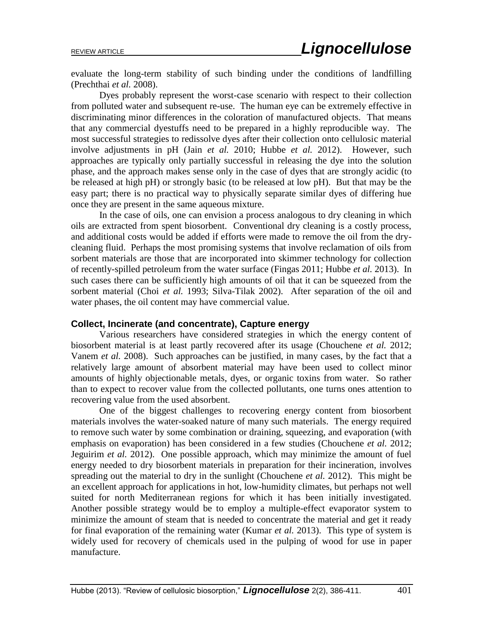evaluate the long-term stability of such binding under the conditions of landfilling (Prechthai *et al.* 2008).

Dyes probably represent the worst-case scenario with respect to their collection from polluted water and subsequent re-use. The human eye can be extremely effective in discriminating minor differences in the coloration of manufactured objects. That means that any commercial dyestuffs need to be prepared in a highly reproducible way. The most successful strategies to redissolve dyes after their collection onto cellulosic material involve adjustments in pH (Jain *et al.* 2010; Hubbe *et al.* 2012). However, such approaches are typically only partially successful in releasing the dye into the solution phase, and the approach makes sense only in the case of dyes that are strongly acidic (to be released at high pH) or strongly basic (to be released at low pH). But that may be the easy part; there is no practical way to physically separate similar dyes of differing hue once they are present in the same aqueous mixture.

In the case of oils, one can envision a process analogous to dry cleaning in which oils are extracted from spent biosorbent. Conventional dry cleaning is a costly process, and additional costs would be added if efforts were made to remove the oil from the drycleaning fluid. Perhaps the most promising systems that involve reclamation of oils from sorbent materials are those that are incorporated into skimmer technology for collection of recently-spilled petroleum from the water surface (Fingas 2011; Hubbe *et al.* 2013). In such cases there can be sufficiently high amounts of oil that it can be squeezed from the sorbent material (Choi *et al.* 1993; Silva-Tilak 2002). After separation of the oil and water phases, the oil content may have commercial value.

#### **Collect, Incinerate (and concentrate), Capture energy**

Various researchers have considered strategies in which the energy content of biosorbent material is at least partly recovered after its usage (Chouchene *et al.* 2012; Vanem *et al.* 2008). Such approaches can be justified, in many cases, by the fact that a relatively large amount of absorbent material may have been used to collect minor amounts of highly objectionable metals, dyes, or organic toxins from water. So rather than to expect to recover value from the collected pollutants, one turns ones attention to recovering value from the used absorbent.

One of the biggest challenges to recovering energy content from biosorbent materials involves the water-soaked nature of many such materials. The energy required to remove such water by some combination or draining, squeezing, and evaporation (with emphasis on evaporation) has been considered in a few studies (Chouchene *et al.* 2012; Jeguirim *et al.* 2012). One possible approach, which may minimize the amount of fuel energy needed to dry biosorbent materials in preparation for their incineration, involves spreading out the material to dry in the sunlight (Chouchene *et al.* 2012). This might be an excellent approach for applications in hot, low-humidity climates, but perhaps not well suited for north Mediterranean regions for which it has been initially investigated. Another possible strategy would be to employ a multiple-effect evaporator system to minimize the amount of steam that is needed to concentrate the material and get it ready for final evaporation of the remaining water (Kumar *et al.* 2013). This type of system is widely used for recovery of chemicals used in the pulping of wood for use in paper manufacture.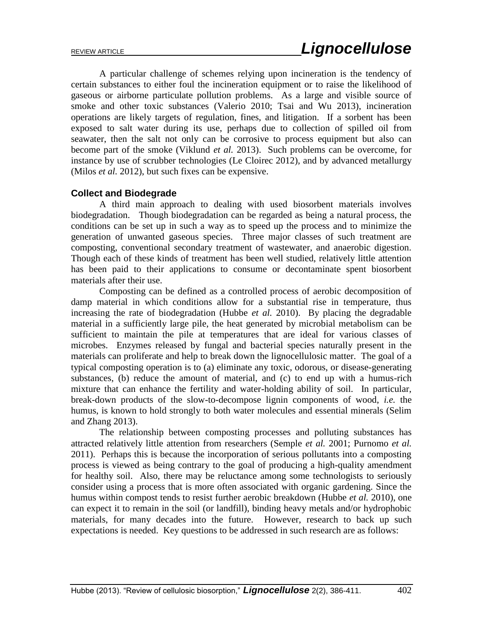A particular challenge of schemes relying upon incineration is the tendency of certain substances to either foul the incineration equipment or to raise the likelihood of gaseous or airborne particulate pollution problems. As a large and visible source of smoke and other toxic substances (Valerio 2010; Tsai and Wu 2013), incineration operations are likely targets of regulation, fines, and litigation. If a sorbent has been exposed to salt water during its use, perhaps due to collection of spilled oil from seawater, then the salt not only can be corrosive to process equipment but also can become part of the smoke (Viklund *et al.* 2013). Such problems can be overcome, for instance by use of scrubber technologies (Le Cloirec 2012), and by advanced metallurgy (Milos *et al.* 2012), but such fixes can be expensive.

## **Collect and Biodegrade**

A third main approach to dealing with used biosorbent materials involves biodegradation. Though biodegradation can be regarded as being a natural process, the conditions can be set up in such a way as to speed up the process and to minimize the generation of unwanted gaseous species. Three major classes of such treatment are composting, conventional secondary treatment of wastewater, and anaerobic digestion. Though each of these kinds of treatment has been well studied, relatively little attention has been paid to their applications to consume or decontaminate spent biosorbent materials after their use.

Composting can be defined as a controlled process of aerobic decomposition of damp material in which conditions allow for a substantial rise in temperature, thus increasing the rate of biodegradation (Hubbe *et al.* 2010). By placing the degradable material in a sufficiently large pile, the heat generated by microbial metabolism can be sufficient to maintain the pile at temperatures that are ideal for various classes of microbes. Enzymes released by fungal and bacterial species naturally present in the materials can proliferate and help to break down the lignocellulosic matter. The goal of a typical composting operation is to (a) eliminate any toxic, odorous, or disease-generating substances, (b) reduce the amount of material, and (c) to end up with a humus-rich mixture that can enhance the fertility and water-holding ability of soil. In particular, break-down products of the slow-to-decompose lignin components of wood, *i.e.* the humus, is known to hold strongly to both water molecules and essential minerals (Selim and Zhang 2013).

The relationship between composting processes and polluting substances has attracted relatively little attention from researchers (Semple *et al.* 2001; Purnomo *et al.* 2011). Perhaps this is because the incorporation of serious pollutants into a composting process is viewed as being contrary to the goal of producing a high-quality amendment for healthy soil. Also, there may be reluctance among some technologists to seriously consider using a process that is more often associated with organic gardening. Since the humus within compost tends to resist further aerobic breakdown (Hubbe *et al.* 2010), one can expect it to remain in the soil (or landfill), binding heavy metals and/or hydrophobic materials, for many decades into the future. However, research to back up such expectations is needed. Key questions to be addressed in such research are as follows: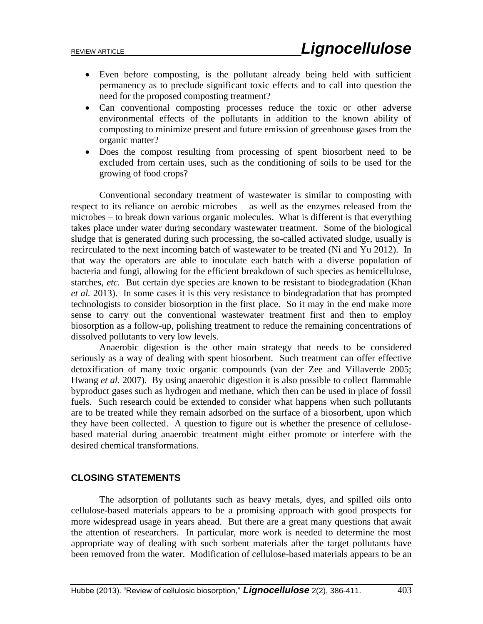- Even before composting, is the pollutant already being held with sufficient permanency as to preclude significant toxic effects and to call into question the need for the proposed composting treatment?
- Can conventional composting processes reduce the toxic or other adverse environmental effects of the pollutants in addition to the known ability of composting to minimize present and future emission of greenhouse gases from the organic matter?
- Does the compost resulting from processing of spent biosorbent need to be excluded from certain uses, such as the conditioning of soils to be used for the growing of food crops?

Conventional secondary treatment of wastewater is similar to composting with respect to its reliance on aerobic microbes – as well as the enzymes released from the microbes – to break down various organic molecules. What is different is that everything takes place under water during secondary wastewater treatment. Some of the biological sludge that is generated during such processing, the so-called activated sludge, usually is recirculated to the next incoming batch of wastewater to be treated (Ni and Yu 2012). In that way the operators are able to inoculate each batch with a diverse population of bacteria and fungi, allowing for the efficient breakdown of such species as hemicellulose, starches, *etc.* But certain dye species are known to be resistant to biodegradation (Khan *et al.* 2013). In some cases it is this very resistance to biodegradation that has prompted technologists to consider biosorption in the first place. So it may in the end make more sense to carry out the conventional wastewater treatment first and then to employ biosorption as a follow-up, polishing treatment to reduce the remaining concentrations of dissolved pollutants to very low levels.

Anaerobic digestion is the other main strategy that needs to be considered seriously as a way of dealing with spent biosorbent. Such treatment can offer effective detoxification of many toxic organic compounds (van der Zee and Villaverde 2005; Hwang *et al.* 2007). By using anaerobic digestion it is also possible to collect flammable byproduct gases such as hydrogen and methane, which then can be used in place of fossil fuels. Such research could be extended to consider what happens when such pollutants are to be treated while they remain adsorbed on the surface of a biosorbent, upon which they have been collected. A question to figure out is whether the presence of cellulosebased material during anaerobic treatment might either promote or interfere with the desired chemical transformations.

## **CLOSING STATEMENTS**

The adsorption of pollutants such as heavy metals, dyes, and spilled oils onto cellulose-based materials appears to be a promising approach with good prospects for more widespread usage in years ahead. But there are a great many questions that await the attention of researchers. In particular, more work is needed to determine the most appropriate way of dealing with such sorbent materials after the target pollutants have been removed from the water. Modification of cellulose-based materials appears to be an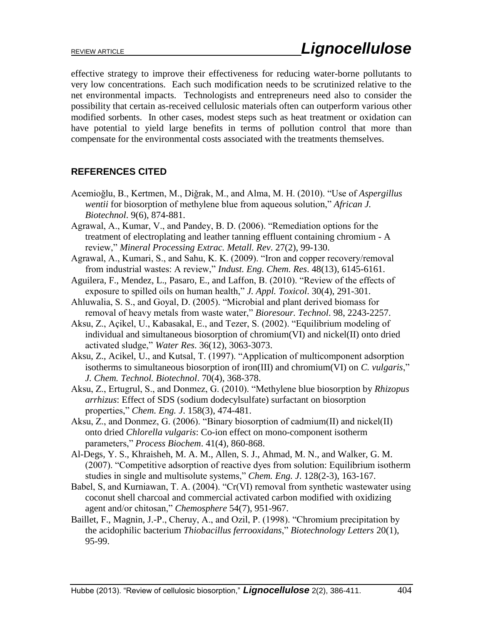effective strategy to improve their effectiveness for reducing water-borne pollutants to very low concentrations. Each such modification needs to be scrutinized relative to the net environmental impacts. Technologists and entrepreneurs need also to consider the possibility that certain as-received cellulosic materials often can outperform various other modified sorbents. In other cases, modest steps such as heat treatment or oxidation can have potential to yield large benefits in terms of pollution control that more than compensate for the environmental costs associated with the treatments themselves.

# **REFERENCES CITED**

- Acemioǧlu, B., Kertmen, M., Diǧrak, M., and Alma, M. H. (2010). "Use of *Aspergillus wentii* for biosorption of methylene blue from aqueous solution," *African J. Biotechnol*. 9(6), 874-881.
- Agrawal, A., Kumar, V., and Pandey, B. D. (2006). "Remediation options for the treatment of electroplating and leather tanning effluent containing chromium - A review," *Mineral Processing Extrac. Metall. Rev*. 27(2), 99-130.
- Agrawal, A., Kumari, S., and Sahu, K. K. (2009). "Iron and copper recovery/removal from industrial wastes: A review," *Indust. Eng. Chem. Res*. 48(13), 6145-6161.
- Aguilera, F., Mendez, L., Pasaro, E., and Laffon, B. (2010). "Review of the effects of exposure to spilled oils on human health," *J. Appl. Toxicol*. 30(4), 291-301.
- Ahluwalia, S. S., and Goyal, D. (2005). "Microbial and plant derived biomass for removal of heavy metals from waste water," *Bioresour. Technol*. 98, 2243-2257.
- Aksu, Z., Açikel, U., Kabasakal, E., and Tezer, S. (2002). "Equilibrium modeling of individual and simultaneous biosorption of chromium(VI) and nickel(II) onto dried activated sludge," *Water Res*. 36(12), 3063-3073.
- Aksu, Z., Acikel, U., and Kutsal, T. (1997). "Application of multicomponent adsorption isotherms to simultaneous biosorption of iron(III) and chromium(VI) on *C. vulgaris*," *J. Chem. Technol. Biotechnol*. 70(4), 368-378.
- Aksu, Z., Ertugrul, S., and Donmez, G. (2010). "Methylene blue biosorption by *Rhizopus arrhizus*: Effect of SDS (sodium dodecylsulfate) surfactant on biosorption properties," *Chem. Eng. J*. 158(3), 474-481.
- Aksu, Z., and Donmez, G. (2006). "Binary biosorption of cadmium(II) and nickel(II) onto dried *Chlorella vulgaris*: Co-ion effect on mono-component isotherm parameters," *Process Biochem*. 41(4), 860-868.
- Al-Degs, Y. S., Khraisheh, M. A. M., Allen, S. J., Ahmad, M. N., and Walker, G. M. (2007). "Competitive adsorption of reactive dyes from solution: Equilibrium isotherm studies in single and multisolute systems," *Chem. Eng. J*. 128(2-3), 163-167.
- Babel, S, and Kurniawan, T. A. (2004). "Cr(VI) removal from synthetic wastewater using coconut shell charcoal and commercial activated carbon modified with oxidizing agent and/or chitosan," *Chemosphere* 54(7), 951-967.
- Baillet, F., Magnin, J.-P., Cheruy, A., and Ozil, P. (1998). "Chromium precipitation by the acidophilic bacterium *Thiobacillus ferrooxidans*," *Biotechnology Letters* 20(1), 95-99.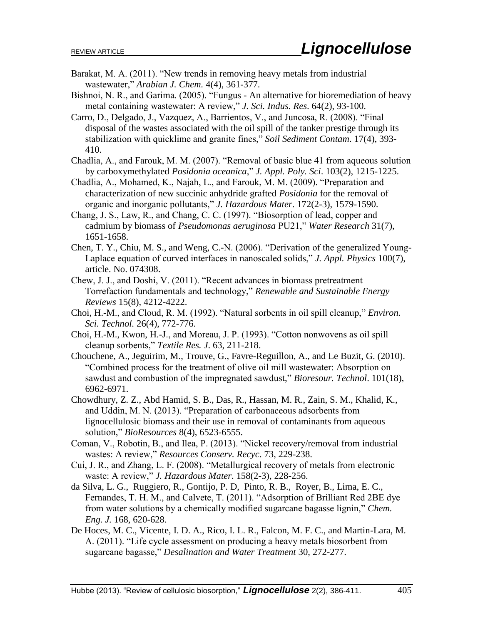- Barakat, M. A. (2011). "New trends in removing heavy metals from industrial wastewater," *Arabian J. Chem.* 4(4), 361-377.
- Bishnoi, N. R., and Garima. (2005). "Fungus An alternative for bioremediation of heavy metal containing wastewater: A review," *J. Sci. Indus. Res*. 64(2), 93-100.
- Carro, D., Delgado, J., Vazquez, A., Barrientos, V., and Juncosa, R. (2008). "Final disposal of the wastes associated with the oil spill of the tanker prestige through its stabilization with quicklime and granite fines," *Soil Sediment Contam*. 17(4), 393- 410.
- Chadlia, A., and Farouk, M. M. (2007). "Removal of basic blue 41 from aqueous solution by carboxymethylated *Posidonia oceanica*," *J. Appl. Poly. Sci*. 103(2), 1215-1225.
- Chadlia, A., Mohamed, K., Najah, L., and Farouk, M. M. (2009). "Preparation and characterization of new succinic anhydride grafted *Posidonia* for the removal of organic and inorganic pollutants," *J. Hazardous Mater*. 172(2-3), 1579-1590.
- Chang, J. S., Law, R., and Chang, C. C. (1997). "Biosorption of lead, copper and cadmium by biomass of *Pseudomonas aeruginosa* PU21," *Water Research* 31(7), 1651-1658.
- Chen, T. Y., Chiu, M. S., and Weng, C.-N. (2006). "Derivation of the generalized Young-Laplace equation of curved interfaces in nanoscaled solids," *J. Appl. Physics* 100(7), article. No. 074308.
- Chew, J. J., and Doshi, V. (2011). "Recent advances in biomass pretreatment Torrefaction fundamentals and technology," *Renewable and Sustainable Energy Reviews* 15(8), 4212-4222.
- Choi, H.-M., and Cloud, R. M. (1992). "Natural sorbents in oil spill cleanup," *Environ. Sci. Technol.* 26(4), 772-776.
- Choi, H.-M., Kwon, H.-J., and Moreau, J. P. (1993). "Cotton nonwovens as oil spill cleanup sorbents," *Textile Res. J*. 63, 211-218.
- Chouchene, A., Jeguirim, M., Trouve, G., Favre-Reguillon, A., and Le Buzit, G. (2010). "Combined process for the treatment of olive oil mill wastewater: Absorption on sawdust and combustion of the impregnated sawdust," *Bioresour. Technol*. 101(18), 6962-6971.
- Chowdhury, Z. Z., Abd Hamid, S. B., Das, R., Hassan, M. R., Zain, S. M., Khalid, K., and Uddin, M. N. (2013). "Preparation of carbonaceous adsorbents from lignocellulosic biomass and their use in removal of contaminants from aqueous solution," *BioResources* 8(4), 6523-6555.
- Coman, V., Robotin, B., and Ilea, P. (2013). "Nickel recovery/removal from industrial wastes: A review," *Resources Conserv. Recyc*. 73, 229-238.
- Cui, J. R., and Zhang, L. F. (2008). "Metallurgical recovery of metals from electronic waste: A review," *J. Hazardous Mater*. 158(2-3), 228-256.
- da Silva, L. G., Ruggiero, R., Gontijo, P. D, Pinto, R. B., Royer, B., Lima, E. C., Fernandes, T. H. M., and Calvete, T. (2011). "Adsorption of Brilliant Red 2BE dye from water solutions by a chemically modified sugarcane bagasse lignin," *Chem. Eng. J.* 168, 620-628.
- De Hoces, M. C., Vicente, I. D. A., Rico, I. L. R., Falcon, M. F. C., and Martin-Lara, M. A. (2011). "Life cycle assessment on producing a heavy metals biosorbent from sugarcane bagasse," *Desalination and Water Treatment* 30, 272-277.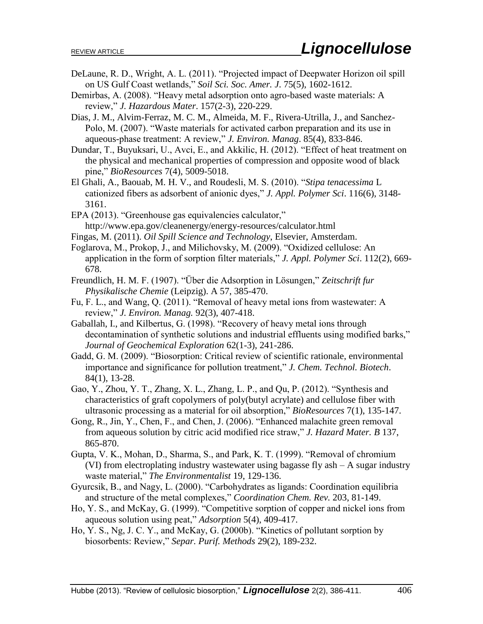- DeLaune, R. D., Wright, A. L. (2011). "Projected impact of Deepwater Horizon oil spill on US Gulf Coast wetlands," *Soil Sci. Soc. Amer. J*. 75(5), 1602-1612.
- Demirbas, A. (2008). "Heavy metal adsorption onto agro-based waste materials: A review," *J. Hazardous Mater*. 157(2-3), 220-229.
- Dias, J. M., Alvim-Ferraz, M. C. M., Almeida, M. F., Rivera-Utrilla, J., and Sanchez-Polo, M. (2007). "Waste materials for activated carbon preparation and its use in aqueous-phase treatment: A review," *J. Environ. Manag*. 85(4), 833-846.
- Dundar, T., Buyuksari, U., Avci, E., and Akkilic, H. (2012). "Effect of heat treatment on the physical and mechanical properties of compression and opposite wood of black pine," *BioResources* 7(4), 5009-5018.
- El Ghali, A., Baouab, M. H. V., and Roudesli, M. S. (2010). "*Stipa tenacessima* L cationized fibers as adsorbent of anionic dyes," *J. Appl. Polymer Sci*. 116(6), 3148- 3161.
- EPA (2013). "Greenhouse gas equivalencies calculator," http://www.epa.gov/cleanenergy/energy-resources/calculator.html
- Fingas, M. (2011). *Oil Spill Science and Technology*, Elsevier, Amsterdam.
- Foglarova, M., Prokop, J., and Milichovsky, M. (2009). "Oxidized cellulose: An application in the form of sorption filter materials," *J. Appl. Polymer Sci*. 112(2), 669- 678.
- Freundlich, H. M. F. (1907). "Über die Adsorption in Lösungen," *Zeitschrift fur Physikalische Chemie* (Leipzig). A 57, 385-470.
- Fu, F. L., and Wang, Q. (2011). "Removal of heavy metal ions from wastewater: A review," *J. Environ. Manag.* 92(3), 407-418.
- Gaballah, I., and Kilbertus, G. (1998). "Recovery of heavy metal ions through decontamination of synthetic solutions and industrial effluents using modified barks," *Journal of Geochemical Exploration* 62(1-3), 241-286.
- Gadd, G. M. (2009). "Biosorption: Critical review of scientific rationale, environmental importance and significance for pollution treatment," *J. Chem. Technol. Biotech*. 84(1), 13-28.
- Gao, Y., Zhou, Y. T., Zhang, X. L., Zhang, L. P., and Qu, P. (2012). "Synthesis and characteristics of graft copolymers of poly(butyl acrylate) and cellulose fiber with ultrasonic processing as a material for oil absorption," *BioResources* 7(1), 135-147.
- Gong, R., Jin, Y., Chen, F., and Chen, J. (2006). "Enhanced malachite green removal from aqueous solution by citric acid modified rice straw," *J. Hazard Mater. B* 137, 865-870.
- Gupta, V. K., Mohan, D., Sharma, S., and Park, K. T. (1999). "Removal of chromium (VI) from electroplating industry wastewater using bagasse fly ash – A sugar industry waste material," *The Environmentalist* 19, 129-136.
- Gyurcsik, B., and Nagy, L. (2000). "Carbohydrates as ligands: Coordination equilibria and structure of the metal complexes," *Coordination Chem. Rev.* 203, 81-149.
- Ho, Y. S., and McKay, G. (1999). "Competitive sorption of copper and nickel ions from aqueous solution using peat," *Adsorption* 5(4), 409-417.
- Ho, Y. S., Ng, J. C. Y., and McKay, G. (2000b). "Kinetics of pollutant sorption by biosorbents: Review," *Separ. Purif. Methods* 29(2), 189-232.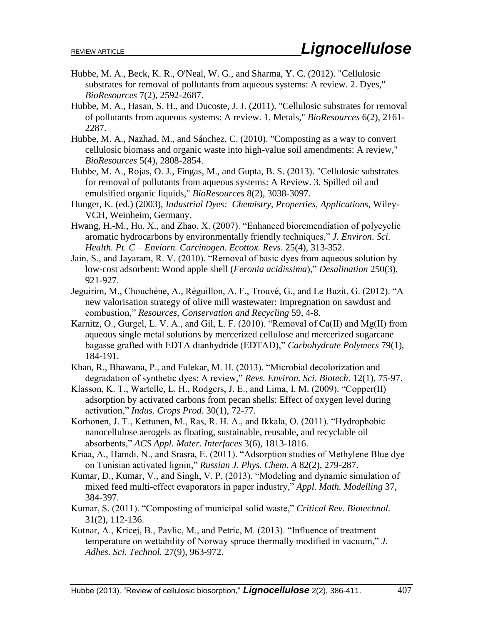- Hubbe, M. A., Beck, K. R., O'Neal, W. G., and Sharma, Y. C. (2012). "Cellulosic substrates for removal of pollutants from aqueous systems: A review. 2. Dyes," *BioResources* 7(2), 2592-2687.
- Hubbe, M. A., Hasan, S. H., and Ducoste, J. J. (2011). "Cellulosic substrates for removal of pollutants from aqueous systems: A review. 1. Metals," *BioResources* 6(2), 2161- 2287.
- Hubbe, M. A., Nazhad, M., and Sánchez, C. (2010). "Composting as a way to convert cellulosic biomass and organic waste into high-value soil amendments: A review," *BioResources* 5(4), 2808-2854.
- Hubbe, M. A., Rojas, O. J., Fingas, M., and Gupta, B. S. (2013). "Cellulosic substrates for removal of pollutants from aqueous systems: A Review. 3. Spilled oil and emulsified organic liquids," *BioResources* 8(2), 3038-3097.
- Hunger, K. (ed.) (2003), *Industrial Dyes: Chemistry, Properties, Applications*, Wiley-VCH, Weinheim, Germany.
- Hwang, H.-M., Hu, X., and Zhao, X. (2007). "Enhanced bioremendiation of polycyclic aromatic hydrocarbons by environmentally friendly techniques," *J. Environ. Sci. Health. Pt. C – Enviorn. Carcinogen. Ecottox. Revs*. 25(4), 313-352.
- Jain, S., and Jayaram, R. V. (2010). "Removal of basic dyes from aqueous solution by low-cost adsorbent: Wood apple shell (*Feronia acidissima*)," *Desalination* 250(3), 921-927.
- Jeguirim, M., Chouchène, A., Réguillon, A. F., Trouvé, G., and Le Buzit, G. (2012). "A new valorisation strategy of olive mill wastewater: Impregnation on sawdust and combustion," *Resources, Conservation and Recycling* 59, 4-8.
- Karnitz, O., Gurgel, L. V. A., and Gil, L. F. (2010). "Removal of Ca(II) and Mg(II) from aqueous single metal solutions by mercerized cellulose and mercerized sugarcane bagasse grafted with EDTA dianhydride (EDTAD)," *Carbohydrate Polymers* 79(1), 184-191.
- Khan, R., Bhawana, P., and Fulekar, M. H. (2013). "Microbial decolorization and degradation of synthetic dyes: A review," *Revs. Environ. Sci. Biotech*. 12(1), 75-97.
- Klasson, K. T., Wartelle, L. H., Rodgers, J. E., and Lima, I. M. (2009). "Copper(II) adsorption by activated carbons from pecan shells: Effect of oxygen level during activation," *Indus. Crops Prod*. 30(1), 72-77.
- Korhonen, J. T., Kettunen, M., Ras, R. H. A., and Ikkala, O. (2011). "Hydrophobic nanocellulose aerogels as floating, sustainable, reusable, and recyclable oil absorbents," *ACS Appl. Mater. Interfaces* 3(6), 1813-1816.
- Kriaa, A., Hamdi, N., and Srasra, E. (2011). "Adsorption studies of Methylene Blue dye on Tunisian activated lignin," *Russian J. Phys. Chem. A* 82(2), 279-287.
- Kumar, D., Kumar, V., and Singh, V. P. (2013). "Modeling and dynamic simulation of mixed feed multi-effect evaporators in paper industry," *Appl. Math. Modelling* 37, 384-397.
- Kumar, S. (2011). "Composting of municipal solid waste," *Critical Rev. Biotechnol.* 31(2), 112-136.
- Kutnar, A., Kricej, B., Pavlic, M., and Petric, M. (2013). "Influence of treatment temperature on wettability of Norway spruce thermally modified in vacuum," *J. Adhes. Sci. Technol.* 27(9), 963-972.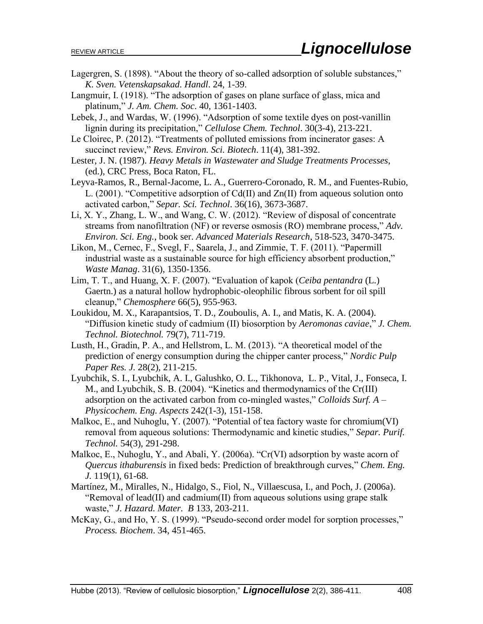- Lagergren, S. (1898). "About the theory of so-called adsorption of soluble substances," *K. Sven. Vetenskapsakad. Handl*. 24, 1-39.
- Langmuir, I. (1918). "The adsorption of gases on plane surface of glass, mica and platinum," *J. Am. Chem. Soc*. 40, 1361-1403.
- Lebek, J., and Wardas, W. (1996). "Adsorption of some textile dyes on post-vanillin lignin during its precipitation," *Cellulose Chem. Technol*. 30(3-4), 213-221.
- Le Cloirec, P. (2012). "Treatments of polluted emissions from incinerator gases: A succinct review," *Revs. Environ. Sci. Biotech*. 11(4), 381-392.
- Lester, J. N. (1987). *Heavy Metals in Wastewater and Sludge Treatments Processes*, (ed.), CRC Press, Boca Raton, FL.
- Leyva-Ramos, R., Bernal-Jacome, L. A., Guerrero-Coronado, R. M., and Fuentes-Rubio, L. (2001). "Competitive adsorption of Cd(II) and Zn(II) from aqueous solution onto activated carbon," *Separ. Sci. Technol*. 36(16), 3673-3687.
- Li, X. Y., Zhang, L. W., and Wang, C. W. (2012). "Review of disposal of concentrate streams from nanofiltration (NF) or reverse osmosis (RO) membrane process," *Adv. Environ. Sci. Eng.*, book ser. *Advanced Materials Research*, 518-523, 3470-3475.
- Likon, M., Cernec, F., Svegl, F., Saarela, J., and Zimmie, T. F. (2011). "Papermill industrial waste as a sustainable source for high efficiency absorbent production," *Waste Manag*. 31(6), 1350-1356.
- Lim, T. T., and Huang, X. F. (2007). "Evaluation of kapok (*Ceiba pentandra* (L.) Gaertn.) as a natural hollow hydrophobic-oleophilic fibrous sorbent for oil spill cleanup," *Chemosphere* 66(5), 955-963.
- Loukidou, M. X., Karapantsios, T. D., Zouboulis, A. I., and Matis, K. A. (2004). "Diffusion kinetic study of cadmium (II) biosorption by *Aeromonas caviae*," *J. Chem. Technol. Biotechnol.* 79(7), 711-719.
- Lusth, H., Gradin, P. A., and Hellstrom, L. M. (2013). "A theoretical model of the prediction of energy consumption during the chipper canter process," *Nordic Pulp Paper Res. J.* 28(2), 211-215.
- Lyubchik, S. I., Lyubchik, A. I., Galushko, O. L., Tikhonova, L. P., Vital, J., Fonseca, I. M., and Lyubchik, S. B. (2004). "Kinetics and thermodynamics of the Cr(III) adsorption on the activated carbon from co-mingled wastes," *Colloids Surf. A – Physicochem. Eng. Aspects* 242(1-3), 151-158.
- Malkoc, E., and Nuhoglu, Y. (2007). "Potential of tea factory waste for chromium(VI) removal from aqueous solutions: Thermodynamic and kinetic studies," *Separ. Purif. Technol.* 54(3), 291-298.
- Malkoc, E., Nuhoglu, Y., and Abali, Y. (2006a). "Cr(VI) adsorption by waste acorn of *Quercus ithaburensis* in fixed beds: Prediction of breakthrough curves," *Chem. Eng. J.* 119(1), 61-68.
- Martínez, M., Miralles, N., Hidalgo, S., Fiol, N., Villaescusa, I., and Poch, J. (2006a). "Removal of lead(II) and cadmium(II) from aqueous solutions using grape stalk waste," *J. Hazard. Mater. B* 133, 203-211.
- McKay, G., and Ho, Y. S. (1999). "Pseudo-second order model for sorption processes," *Process. Biochem*. 34, 451-465.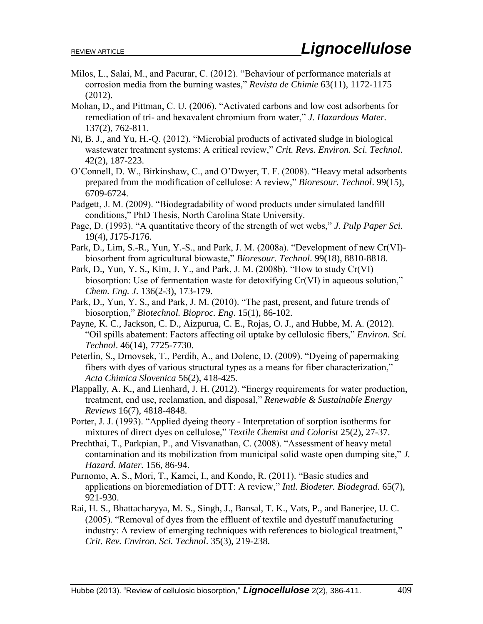- Milos, L., Salai, M., and Pacurar, C. (2012). "Behaviour of performance materials at corrosion media from the burning wastes," *Revista de Chimie* 63(11), 1172-1175 (2012).
- Mohan, D., and Pittman, C. U. (2006). "Activated carbons and low cost adsorbents for remediation of tri- and hexavalent chromium from water," *J. Hazardous Mater.* 137(2), 762-811.
- Ni, B. J., and Yu, H.-Q. (2012). "Microbial products of activated sludge in biological wastewater treatment systems: A critical review," *Crit. Revs. Environ. Sci. Technol*. 42(2), 187-223.
- O'Connell, D. W., Birkinshaw, C., and O'Dwyer, T. F. (2008). "Heavy metal adsorbents prepared from the modification of cellulose: A review," *Bioresour. Technol*. 99(15), 6709-6724.
- Padgett, J. M. (2009). "Biodegradability of wood products under simulated landfill conditions," PhD Thesis, North Carolina State University.
- Page, D. (1993). "A quantitative theory of the strength of wet webs," *J. Pulp Paper Sci.* 19(4), J175-J176.
- Park, D., Lim, S.-R., Yun, Y.-S., and Park, J. M. (2008a). "Development of new Cr(VI) biosorbent from agricultural biowaste," *Bioresour. Technol*. 99(18), 8810-8818.
- Park, D., Yun, Y. S., Kim, J. Y., and Park, J. M. (2008b). "How to study  $Cr(VI)$ biosorption: Use of fermentation waste for detoxifying Cr(VI) in aqueous solution," *Chem. Eng. J*. 136(2-3), 173-179.
- Park, D., Yun, Y. S., and Park, J. M. (2010). "The past, present, and future trends of biosorption," *Biotechnol. Bioproc. Eng*. 15(1), 86-102.
- Payne, K. C., Jackson, C. D., Aizpurua, C. E., Rojas, O. J., and Hubbe, M. A. (2012). "Oil spills abatement: Factors affecting oil uptake by cellulosic fibers," *Environ. Sci. Technol*. 46(14), 7725-7730.
- Peterlin, S., Drnovsek, T., Perdih, A., and Dolenc, D. (2009). "Dyeing of papermaking fibers with dyes of various structural types as a means for fiber characterization," *Acta Chimica Slovenica* 56(2), 418-425.
- Plappally, A. K., and Lienhard, J. H. (2012). "Energy requirements for water production, treatment, end use, reclamation, and disposal," *Renewable & Sustainable Energy Reviews* 16(7), 4818-4848.
- Porter, J. J. (1993). "Applied dyeing theory Interpretation of sorption isotherms for mixtures of direct dyes on cellulose," *Textile Chemist and Colorist* 25(2), 27-37.
- Prechthai, T., Parkpian, P., and Visvanathan, C. (2008). "Assessment of heavy metal contamination and its mobilization from municipal solid waste open dumping site," *J. Hazard. Mater.* 156, 86-94.
- Purnomo, A. S., Mori, T., Kamei, I., and Kondo, R. (2011). "Basic studies and applications on bioremediation of DTT: A review," *Intl. Biodeter. Biodegrad.* 65(7), 921-930.
- Rai, H. S., Bhattacharyya, M. S., Singh, J., Bansal, T. K., Vats, P., and Banerjee, U. C. (2005). "Removal of dyes from the effluent of textile and dyestuff manufacturing industry: A review of emerging techniques with references to biological treatment," *Crit. Rev. Environ. Sci. Technol*. 35(3), 219-238.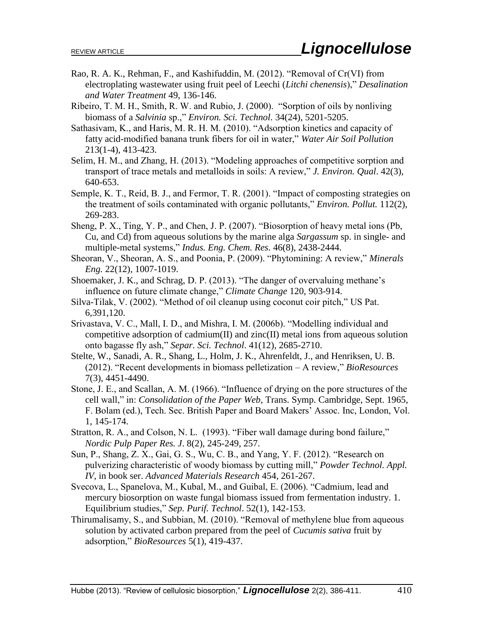- Rao, R. A. K., Rehman, F., and Kashifuddin, M. (2012). "Removal of Cr(VI) from electroplating wastewater using fruit peel of Leechi (*Litchi chenensis*)," *Desalination and Water Treatment* 49, 136-146.
- Ribeiro, T. M. H., Smith, R. W. and Rubio, J. (2000). "Sorption of oils by nonliving biomass of a *Salvinia* sp.," *Environ. Sci. Technol*. 34(24), 5201-5205.
- Sathasivam, K., and Haris, M. R. H. M. (2010). "Adsorption kinetics and capacity of fatty acid-modified banana trunk fibers for oil in water," *Water Air Soil Pollution* 213(1-4), 413-423.
- Selim, H. M., and Zhang, H. (2013). "Modeling approaches of competitive sorption and transport of trace metals and metalloids in soils: A review," *J. Environ. Qual*. 42(3), 640-653.
- Semple, K. T., Reid, B. J., and Fermor, T. R. (2001). "Impact of composting strategies on the treatment of soils contaminated with organic pollutants," *Environ. Pollut.* 112(2), 269-283.
- Sheng, P. X., Ting, Y. P., and Chen, J. P. (2007). "Biosorption of heavy metal ions (Pb, Cu, and Cd) from aqueous solutions by the marine alga *Sargassum* sp. in single- and multiple-metal systems," *Indus. Eng. Chem. Res*. 46(8), 2438-2444.
- Sheoran, V., Sheoran, A. S., and Poonia, P. (2009). "Phytomining: A review," *Minerals Eng.* 22(12), 1007-1019.
- Shoemaker, J. K., and Schrag, D. P. (2013). "The danger of overvaluing methane's influence on future climate change," *Climate Change* 120, 903-914.
- Silva-Tilak, V. (2002). "Method of oil cleanup using coconut coir pitch," US Pat. 6,391,120.
- Srivastava, V. C., Mall, I. D., and Mishra, I. M. (2006b). "Modelling individual and competitive adsorption of cadmium(II) and zinc(II) metal ions from aqueous solution onto bagasse fly ash," *Separ. Sci. Technol*. 41(12), 2685-2710.
- Stelte, W., Sanadi, A. R., Shang, L., Holm, J. K., Ahrenfeldt, J., and Henriksen, U. B. (2012). "Recent developments in biomass pelletization – A review," *BioResources* 7(3), 4451-4490.
- Stone, J. E., and Scallan, A. M. (1966). "Influence of drying on the pore structures of the cell wall," in: *Consolidation of the Paper Web*, Trans. Symp. Cambridge, Sept. 1965, F. Bolam (ed.), Tech. Sec. British Paper and Board Makers' Assoc. Inc, London, Vol. 1, 145-174.
- Stratton, R. A., and Colson, N. L. (1993). "Fiber wall damage during bond failure," *Nordic Pulp Paper Res. J*. 8(2), 245-249, 257.
- Sun, P., Shang, Z. X., Gai, G. S., Wu, C. B., and Yang, Y. F. (2012). "Research on pulverizing characteristic of woody biomass by cutting mill," *Powder Technol. Appl. IV*, in book ser. *Advanced Materials Research* 454, 261-267.
- Svecova, L., Spanelova, M., Kubal, M., and Guibal, E. (2006). "Cadmium, lead and mercury biosorption on waste fungal biomass issued from fermentation industry. 1. Equilibrium studies," *Sep. Purif. Technol*. 52(1), 142-153.
- Thirumalisamy, S., and Subbian, M. (2010). "Removal of methylene blue from aqueous solution by activated carbon prepared from the peel of *Cucumis sativa* fruit by adsorption," *BioResources* 5(1), 419-437.